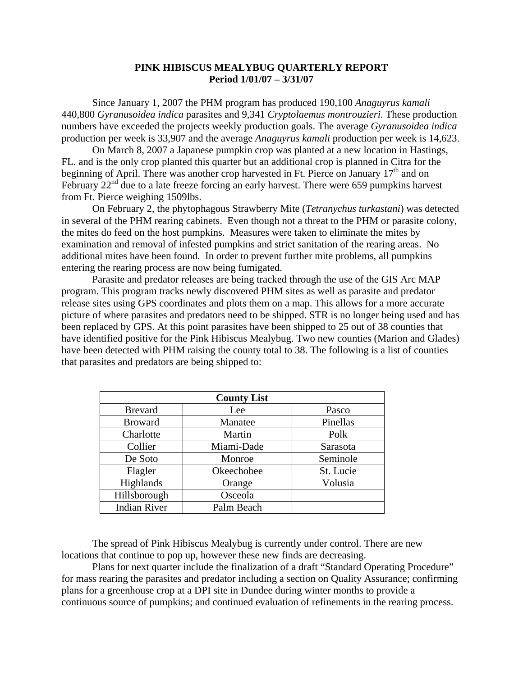## **PINK HIBISCUS MEALYBUG QUARTERLY REPORT Period 1/01/07 – 3/31/07**

Since January 1, 2007 the PHM program has produced 190,100 *Anaguyrus kamali* 440,800 *Gyranusoidea indica* parasites and 9,341 *Cryptolaemus montrouzieri*. These production numbers have exceeded the projects weekly production goals. The average *Gyranusoidea indica*  production per week is 33,907 and the average *Anaguyrus kamali* production per week is 14,623.

 On March 8, 2007 a Japanese pumpkin crop was planted at a new location in Hastings, FL. and is the only crop planted this quarter but an additional crop is planned in Citra for the beginning of April. There was another crop harvested in Ft. Pierce on January  $17<sup>th</sup>$  and on February  $22<sup>nd</sup>$  due to a late freeze forcing an early harvest. There were 659 pumpkins harvest from Ft. Pierce weighing 1509lbs.

 On February 2, the phytophagous Strawberry Mite (*Tetranychus turkastani*) was detected in several of the PHM rearing cabinets. Even though not a threat to the PHM or parasite colony, the mites do feed on the host pumpkins. Measures were taken to eliminate the mites by examination and removal of infested pumpkins and strict sanitation of the rearing areas. No additional mites have been found. In order to prevent further mite problems, all pumpkins entering the rearing process are now being fumigated.

 Parasite and predator releases are being tracked through the use of the GIS Arc MAP program. This program tracks newly discovered PHM sites as well as parasite and predator release sites using GPS coordinates and plots them on a map. This allows for a more accurate picture of where parasites and predators need to be shipped. STR is no longer being used and has been replaced by GPS. At this point parasites have been shipped to 25 out of 38 counties that have identified positive for the Pink Hibiscus Mealybug. Two new counties (Marion and Glades) have been detected with PHM raising the county total to 38. The following is a list of counties that parasites and predators are being shipped to:

| <b>County List</b>  |            |           |
|---------------------|------------|-----------|
| <b>Brevard</b>      | Lee        | Pasco     |
| <b>Broward</b>      | Manatee    | Pinellas  |
| Charlotte           | Martin     | Polk      |
| Collier             | Miami-Dade | Sarasota  |
| De Soto             | Monroe     | Seminole  |
| Flagler             | Okeechobee | St. Lucie |
| Highlands           | Orange     | Volusia   |
| Hillsborough        | Osceola    |           |
| <b>Indian River</b> | Palm Beach |           |

 The spread of Pink Hibiscus Mealybug is currently under control. There are new locations that continue to pop up, however these new finds are decreasing.

 Plans for next quarter include the finalization of a draft "Standard Operating Procedure" for mass rearing the parasites and predator including a section on Quality Assurance; confirming plans for a greenhouse crop at a DPI site in Dundee during winter months to provide a continuous source of pumpkins; and continued evaluation of refinements in the rearing process.